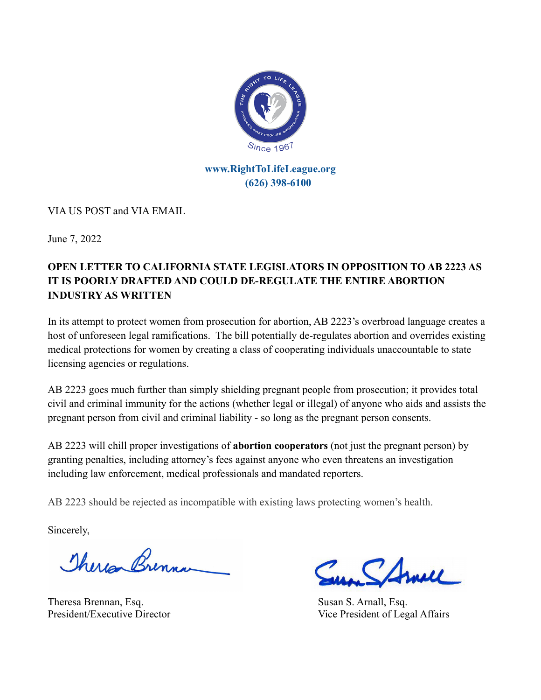

#### **[www.RightToLifeLeague.org](http://www.righttolifeleague.org) (626) 398-6100**

VIA US POST and VIA EMAIL

June 7, 2022

## **OPEN LETTER TO CALIFORNIA STATE LEGISLATORS IN OPPOSITION TO AB 2223 AS IT IS POORLY DRAFTED AND COULD DE-REGULATE THE ENTIRE ABORTION INDUSTRY AS WRITTEN**

In its attempt to protect women from prosecution for abortion, AB 2223's overbroad language creates a host of unforeseen legal ramifications. The bill potentially de-regulates abortion and overrides existing medical protections for women by creating a class of cooperating individuals unaccountable to state licensing agencies or regulations.

AB 2223 goes much further than simply shielding pregnant people from prosecution; it provides total civil and criminal immunity for the actions (whether legal or illegal) of anyone who aids and assists the pregnant person from civil and criminal liability - so long as the pregnant person consents.

AB 2223 will chill proper investigations of **abortion cooperators** (not just the pregnant person) by granting penalties, including attorney's fees against anyone who even threatens an investigation including law enforcement, medical professionals and mandated reporters.

AB 2223 should be rejected as incompatible with existing laws protecting women's health.

Sincerely,

Therea Brenna

Theresa Brennan, Esq. Susan S. Arnall, Esq. Susan S. Arnall, Esq.

In Camel

President/Executive Director Vice President of Legal Affairs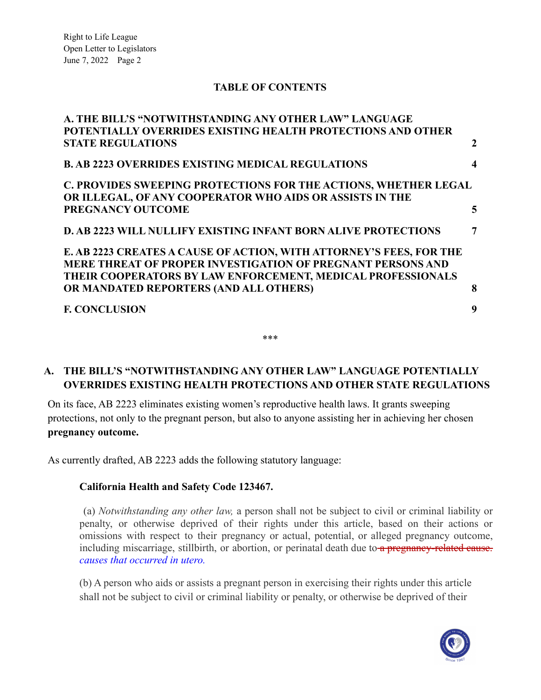#### **TABLE OF CONTENTS**

**[A. THE BILL'S "NOTWITHSTANDING ANY OTHER LAW" LANGUAGE](#page-1-0)**

| A. THE BILL'S "NOTWITHSTANDING ANY OTHER LAW" LANGUAGE                                                                                                                                            |                  |
|---------------------------------------------------------------------------------------------------------------------------------------------------------------------------------------------------|------------------|
| POTENTIALLY OVERRIDES EXISTING HEALTH PROTECTIONS AND OTHER                                                                                                                                       |                  |
| <b>STATE REGULATIONS</b>                                                                                                                                                                          | 2                |
| <b>B. AB 2223 OVERRIDES EXISTING MEDICAL REGULATIONS</b>                                                                                                                                          | $\boldsymbol{4}$ |
| C. PROVIDES SWEEPING PROTECTIONS FOR THE ACTIONS, WHETHER LEGAL<br>OR ILLEGAL, OF ANY COOPERATOR WHO AIDS OR ASSISTS IN THE                                                                       |                  |
| PREGNANCY OUTCOME                                                                                                                                                                                 | 5                |
| <b>D. AB 2223 WILL NULLIFY EXISTING INFANT BORN ALIVE PROTECTIONS</b>                                                                                                                             | $\overline{7}$   |
| E. AB 2223 CREATES A CAUSE OF ACTION, WITH ATTORNEY'S FEES, FOR THE<br>MERE THREAT OF PROPER INVESTIGATION OF PREGNANT PERSONS AND<br>THEIR COOPERATORS BY LAW ENFORCEMENT, MEDICAL PROFESSIONALS |                  |
| OR MANDATED REPORTERS (AND ALL OTHERS)                                                                                                                                                            | 8                |
| <b>F. CONCLUSION</b>                                                                                                                                                                              | 9                |
|                                                                                                                                                                                                   |                  |

#### <span id="page-1-0"></span>**A. THE BILL'S "NOTWITHSTANDING ANY OTHER LAW" LANGUAGE POTENTIALLY OVERRIDES EXISTING HEALTH PROTECTIONS AND OTHER STATE REGULATIONS**

\*\*\*

On its face, AB 2223 eliminates existing women's reproductive health laws. It grants sweeping protections, not only to the pregnant person, but also to anyone assisting her in achieving her chosen **pregnancy outcome.**

As currently drafted, AB 2223 adds the following statutory language:

#### **California Health and Safety Code 123467.**

(a) *Notwithstanding any other law,* a person shall not be subject to civil or criminal liability or penalty, or otherwise deprived of their rights under this article, based on their actions or omissions with respect to their pregnancy or actual, potential, or alleged pregnancy outcome, including miscarriage, stillbirth, or abortion, or perinatal death due to a pregnancy-related cause. *causes that occurred in utero.*

(b) A person who aids or assists a pregnant person in exercising their rights under this article shall not be subject to civil or criminal liability or penalty, or otherwise be deprived of their

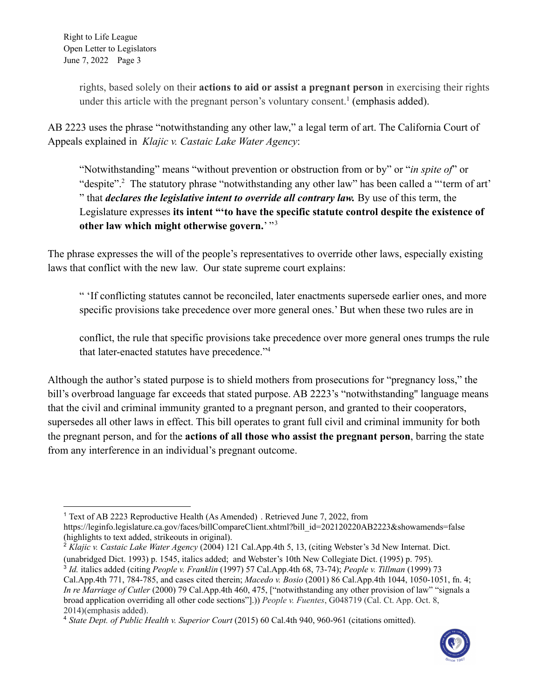> rights, based solely on their **actions to aid or assist a pregnant person** in exercising their rights under this article with the pregnant person's voluntary consent.<sup>1</sup> (emphasis added).

AB 2223 uses the phrase "notwithstanding any other law," a legal term of art. The California Court of Appeals explained in *Klajic v. Castaic Lake Water Agency*:

"Notwithstanding" means "without prevention or obstruction from or by" or "*in spite of*" or "despite".<sup>2</sup> The statutory phrase "notwithstanding any other law" has been called a "'term of art' " that *declares the legislative intent to override all contrary law.* By use of this term, the Legislature expresses **its intent "'to have the specific statute control despite the existence of** other law which might otherwise govern.<sup>'"3</sup>

The phrase expresses the will of the people's representatives to override other laws, especially existing laws that conflict with the new law. Our state supreme court explains:

" 'If conflicting statutes cannot be reconciled, later enactments supersede earlier ones, and more specific provisions take precedence over more general ones.' But when these two rules are in

conflict, the rule that specific provisions take precedence over more general ones trumps the rule that later-enacted statutes have precedence."<sup>4</sup>

Although the author's stated purpose is to shield mothers from prosecutions for "pregnancy loss," the bill's overbroad language far exceeds that stated purpose. AB 2223's "notwithstanding'' language means that the civil and criminal immunity granted to a pregnant person, and granted to their cooperators, supersedes all other laws in effect. This bill operates to grant full civil and criminal immunity for both the pregnant person, and for the **actions of all those who assist the pregnant person**, barring the state from any interference in an individual's pregnant outcome.

<sup>2</sup> *Klajic v. Castaic Lake Water Agency* (2004) 121 Cal.App.4th 5, 13, (citing Webster's 3d New Internat. Dict. (unabridged Dict. 1993) p. 1545, italics added; and Webster's 10th New Collegiate Dict. (1995) p. 795).

<sup>4</sup> *State Dept. of Public Health v. Superior Court* (2015) 60 Cal.4th 940, 960-961 (citations omitted).



<sup>1</sup> Text of AB 2223 Reproductive Health (As Amended) . Retrieved June 7, 2022, from https://leginfo.legislature.ca.gov/faces/billCompareClient.xhtml?bill\_id=202120220AB2223&showamends=false (highlights to text added, strikeouts in original).

<sup>3</sup> *Id.* italics added (citing *People v. Franklin* (1997) 57 Cal.App.4th 68, 73-74); *People v. Tillman* (1999) 73 Cal.App.4th 771, 784-785, and cases cited therein; *Macedo v. Bosio* (2001) 86 Cal.App.4th 1044, 1050-1051, fn. 4; *In re Marriage of Cutler* (2000) 79 Cal.App.4th 460, 475, ["notwithstanding any other provision of law" "signals a broad application overriding all other code sections"].)) *People v. Fuentes*, G048719 (Cal. Ct. App. Oct. 8, 2014)(emphasis added).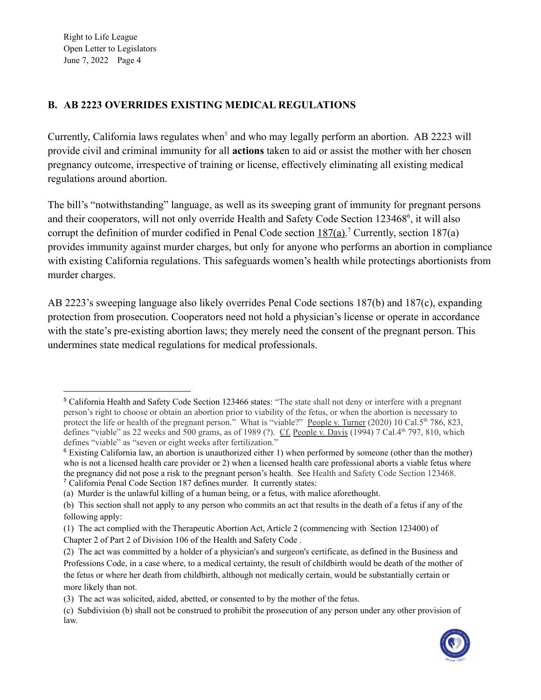### <span id="page-3-0"></span>**B. AB 2223 OVERRIDES EXISTING MEDICAL REGULATIONS**

Currently, California laws regulates when<sup>5</sup> and who may legally perform an abortion. AB 2223 will provide civil and criminal immunity for all **actions** taken to aid or assist the mother with her chosen pregnancy outcome, irrespective of training or license, effectively eliminating all existing medical regulations around abortion.

The bill's "notwithstanding" language, as well as its sweeping grant of immunity for pregnant persons and their cooperators, will not only override Health and Safety Code Section 123468<sup>6</sup>, it will also corrupt the definition of murder codified in Penal Code section  $187(a)$ .<sup>7</sup> Currently, section 187(a) provides immunity against murder charges, but only for anyone who performs an abortion in compliance with existing California regulations. This safeguards women's health while protectings abortionists from murder charges.

AB 2223's sweeping language also likely overrides Penal Code sections 187(b) and 187(c), expanding protection from prosecution. Cooperators need not hold a physician's license or operate in accordance with the state's pre-existing abortion laws; they merely need the consent of the pregnant person. This undermines state medical regulations for medical professionals.

<sup>(</sup>c) Subdivision (b) shall not be construed to prohibit the prosecution of any person under any other provision of law.



<sup>5</sup> California Health and Safety Code Section 123466 states: "The state shall not deny or interfere with a pregnant person's right to choose or obtain an abortion prior to viability of the fetus, or when the abortion is necessary to protect the life or health of the pregnant person." What is "viable?" People v. Turner (2020) 10 Cal.5<sup>th</sup> 786, 823, defines "viable" as 22 weeks and 500 grams, as of 1989 (?).  $C_f$  People v. Davis (1994) 7 Cal.4th 797, 810, which defines "viable" as "seven or eight weeks after fertilization."

<sup>7</sup> California Penal Code Section 187 defines murder. It currently states:  $6$  Existing California law, an abortion is unauthorized either 1) when performed by someone (other than the mother) who is not a licensed health care provider or 2) when a licensed health care professional aborts a viable fetus where the pregnancy did not pose a risk to the pregnant person's health. See Health and Safety Code Section 123468.

<sup>(</sup>a) Murder is the unlawful killing of a human being, or a fetus, with malice aforethought.

<sup>(</sup>b) This section shall not apply to any person who commits an act that results in the death of a fetus if any of the following apply:

<sup>(1)</sup> The act complied with the Therapeutic Abortion Act, Article 2 (commencing with Section [123400\)](https://1.next.westlaw.com/Link/Document/FullText?findType=L&originatingContext=document&transitionType=DocumentItem&pubNum=1000213&refType=LQ&originatingDoc=I9a4cbe60140a11e9a9aca07da6f8e94b&cite=CAHSS123400) of Chapter 2 of Part 2 of [Division](https://1.next.westlaw.com/Link/Document/FullText?findType=L&originatingContext=document&transitionType=DocumentItem&pubNum=1000213&refType=LQ&originatingDoc=I9a4cbe60140a11e9a9aca07da6f8e94b&cite=CAHSS123400) 106 of the Health and Safety Code .

<sup>(2)</sup> The act was committed by a holder of a physician's and surgeon's certificate, as defined in the Business and Professions Code, in a case where, to a medical certainty, the result of childbirth would be death of the mother of the fetus or where her death from childbirth, although not medically certain, would be substantially certain or more likely than not.

<sup>(3)</sup> The act was solicited, aided, abetted, or consented to by the mother of the fetus.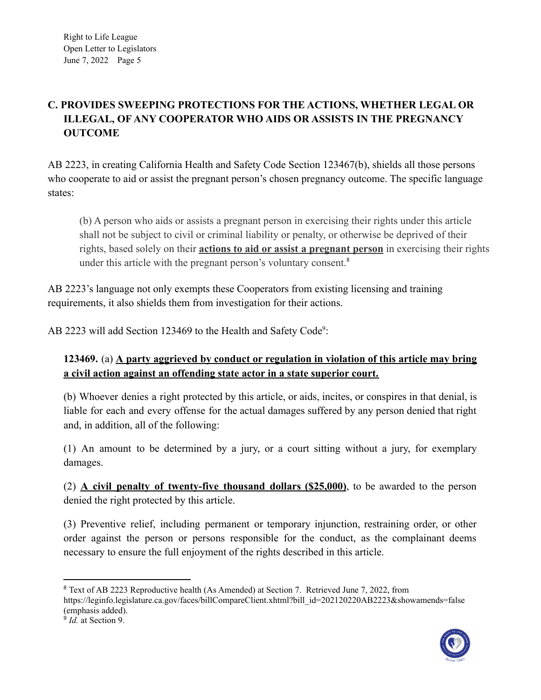## <span id="page-4-0"></span>**C. PROVIDES SWEEPING PROTECTIONS FOR THE ACTIONS, WHETHER LEGAL OR ILLEGAL, OF ANY COOPERATOR WHO AIDS OR ASSISTS IN THE PREGNANCY OUTCOME**

AB 2223, in creating California Health and Safety Code Section 123467(b), shields all those persons who cooperate to aid or assist the pregnant person's chosen pregnancy outcome. The specific language states:

(b) A person who aids or assists a pregnant person in exercising their rights under this article shall not be subject to civil or criminal liability or penalty, or otherwise be deprived of their rights, based solely on their **actions to aid or assist a pregnant person** in exercising their rights under this article with the pregnant person's voluntary consent.<sup>8</sup>

AB 2223's language not only exempts these Cooperators from existing licensing and training requirements, it also shields them from investigation for their actions.

AB 2223 will add Section 123469 to the Health and Safety Code<sup>9</sup>:

## **123469.** (a) **A party aggrieved by conduct or regulation in violation of this article may bring a civil action against an offending state actor in a state superior court.**

(b) Whoever denies a right protected by this article, or aids, incites, or conspires in that denial, is liable for each and every offense for the actual damages suffered by any person denied that right and, in addition, all of the following:

(1) An amount to be determined by a jury, or a court sitting without a jury, for exemplary damages.

(2) **A civil penalty of twenty-five thousand dollars (\$25,000)**, to be awarded to the person denied the right protected by this article.

(3) Preventive relief, including permanent or temporary injunction, restraining order, or other order against the person or persons responsible for the conduct, as the complainant deems necessary to ensure the full enjoyment of the rights described in this article.

<sup>9</sup> *Id.* at Section 9. <sup>8</sup> Text of AB 2223 Reproductive health (As Amended) at Section 7. Retrieved June 7, 2022, from https://leginfo.legislature.ca.gov/faces/billCompareClient.xhtml?bill\_id=202120220AB2223&showamends=false (emphasis added).

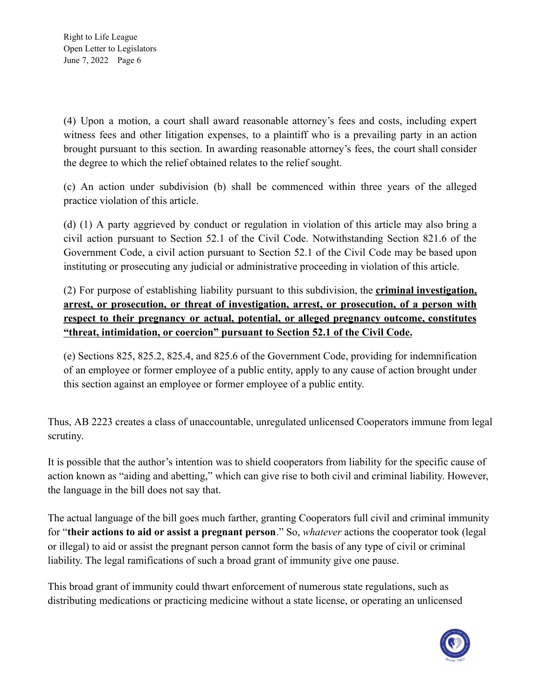(4) Upon a motion, a court shall award reasonable attorney's fees and costs, including expert witness fees and other litigation expenses, to a plaintiff who is a prevailing party in an action brought pursuant to this section. In awarding reasonable attorney's fees, the court shall consider the degree to which the relief obtained relates to the relief sought.

(c) An action under subdivision (b) shall be commenced within three years of the alleged practice violation of this article.

(d) (1) A party aggrieved by conduct or regulation in violation of this article may also bring a civil action pursuant to Section 52.1 of the Civil Code. Notwithstanding Section 821.6 of the Government Code, a civil action pursuant to Section 52.1 of the Civil Code may be based upon instituting or prosecuting any judicial or administrative proceeding in violation of this article.

(2) For purpose of establishing liability pursuant to this subdivision, the **criminal investigation, arrest, or prosecution, or threat of investigation, arrest, or prosecution, of a person with respect to their pregnancy or actual, potential, or alleged pregnancy outcome, constitutes "threat, intimidation, or coercion" pursuant to Section 52.1 of the Civil Code.**

(e) Sections 825, 825.2, 825.4, and 825.6 of the Government Code, providing for indemnification of an employee or former employee of a public entity, apply to any cause of action brought under this section against an employee or former employee of a public entity.

Thus, AB 2223 creates a class of unaccountable, unregulated unlicensed Cooperators immune from legal scrutiny.

It is possible that the author's intention was to shield cooperators from liability for the specific cause of action known as "aiding and abetting," which can give rise to both civil and criminal liability. However, the language in the bill does not say that.

The actual language of the bill goes much farther, granting Cooperators full civil and criminal immunity for "**their actions to aid or assist a pregnant person**." So, *whatever* actions the cooperator took (legal or illegal) to aid or assist the pregnant person cannot form the basis of any type of civil or criminal liability. The legal ramifications of such a broad grant of immunity give one pause.

This broad grant of immunity could thwart enforcement of numerous state regulations, such as distributing medications or practicing medicine without a state license, or operating an unlicensed

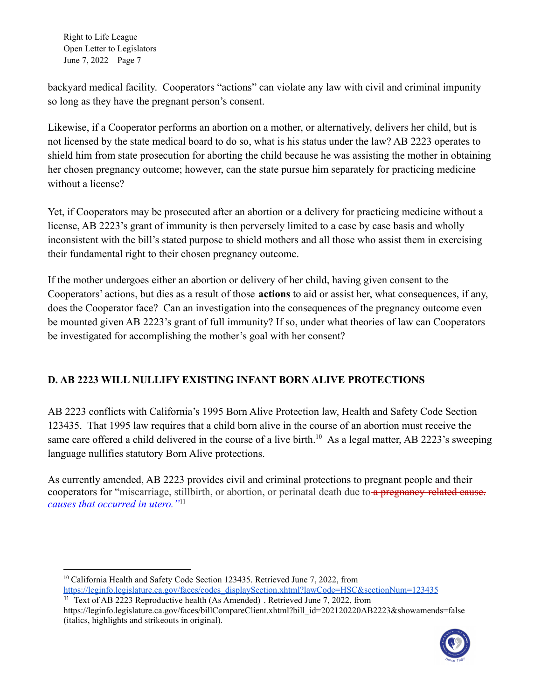backyard medical facility. Cooperators "actions" can violate any law with civil and criminal impunity so long as they have the pregnant person's consent.

Likewise, if a Cooperator performs an abortion on a mother, or alternatively, delivers her child, but is not licensed by the state medical board to do so, what is his status under the law? AB 2223 operates to shield him from state prosecution for aborting the child because he was assisting the mother in obtaining her chosen pregnancy outcome; however, can the state pursue him separately for practicing medicine without a license?

Yet, if Cooperators may be prosecuted after an abortion or a delivery for practicing medicine without a license, AB 2223's grant of immunity is then perversely limited to a case by case basis and wholly inconsistent with the bill's stated purpose to shield mothers and all those who assist them in exercising their fundamental right to their chosen pregnancy outcome.

If the mother undergoes either an abortion or delivery of her child, having given consent to the Cooperators' actions, but dies as a result of those **actions** to aid or assist her, what consequences, if any, does the Cooperator face? Can an investigation into the consequences of the pregnancy outcome even be mounted given AB 2223's grant of full immunity? If so, under what theories of law can Cooperators be investigated for accomplishing the mother's goal with her consent?

## <span id="page-6-0"></span>**D. AB 2223 WILL NULLIFY EXISTING INFANT BORN ALIVE PROTECTIONS**

AB 2223 conflicts with California's 1995 Born Alive Protection law, Health and Safety Code Section 123435. That 1995 law requires that a child born alive in the course of an abortion must receive the same care offered a child delivered in the course of a live birth.<sup>10</sup> As a legal matter, AB 2223's sweeping language nullifies statutory Born Alive protections.

As currently amended, AB 2223 provides civil and criminal protections to pregnant people and their cooperators for "miscarriage, stillbirth, or abortion, or perinatal death due to a pregnancy-related cause. *causes that occurred in utero."*<sup>11</sup>

<sup>&</sup>lt;sup>11</sup> Text of AB 2223 Reproductive health (As Amended). Retrieved June 7, 2022, from https://leginfo.legislature.ca.gov/faces/billCompareClient.xhtml?bill\_id=202120220AB2223&showamends=false (italics, highlights and strikeouts in original).



<sup>&</sup>lt;sup>10</sup> California Health and Safety Code Section 123435. Retrieved June 7, 2022, from [https://leginfo.legislature.ca.gov/faces/codes\\_displaySection.xhtml?lawCode=HSC&sectionNum=123435](https://leginfo.legislature.ca.gov/faces/codes_displaySection.xhtml?lawCode=HSC§ionNum=123435)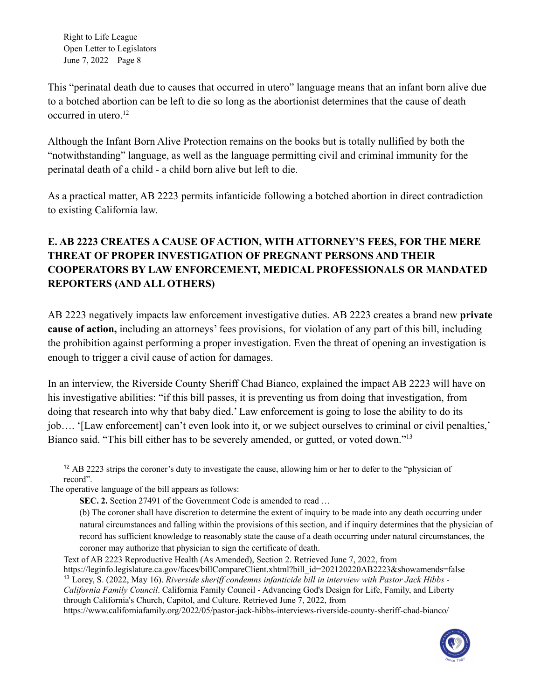This "perinatal death due to causes that occurred in utero" language means that an infant born alive due to a botched abortion can be left to die so long as the abortionist determines that the cause of death occurred in utero. $12$ 

Although the Infant Born Alive Protection remains on the books but is totally nullified by both the "notwithstanding" language, as well as the language permitting civil and criminal immunity for the perinatal death of a child - a child born alive but left to die.

As a practical matter, AB 2223 permits infanticide following a botched abortion in direct contradiction to existing California law.

# **E. AB 2223 CREATES A CAUSE OF ACTION, WITH ATTORNEY'S FEES, FOR THE MERE THREAT OF PROPER INVESTIGATION OF PREGNANT PERSONS AND THEIR COOPERATORS BY LAW ENFORCEMENT, MEDICAL PROFESSIONALS OR MANDATED REPORTERS (AND ALL OTHERS)**

<span id="page-7-0"></span>AB 2223 negatively impacts law enforcement investigative duties. AB 2223 creates a brand new **private cause of action,** including an attorneys' fees provisions, for violation of any part of this bill, including the prohibition against performing a proper investigation. Even the threat of opening an investigation is enough to trigger a civil cause of action for damages.

In an interview, the Riverside County Sheriff Chad Bianco, explained the impact AB 2223 will have on his investigative abilities: "if this bill passes, it is preventing us from doing that investigation, from doing that research into why that baby died.' Law enforcement is going to lose the ability to do its job…. '[Law enforcement] can't even look into it, or we subject ourselves to criminal or civil penalties,' Bianco said. "This bill either has to be severely amended, or gutted, or voted down."<sup>13</sup>

https://www.californiafamily.org/2022/05/pastor-jack-hibbs-interviews-riverside-county-sheriff-chad-bianco/



<sup>&</sup>lt;sup>12</sup> AB 2223 strips the coroner's duty to investigate the cause, allowing him or her to defer to the "physician of record".

The operative language of the bill appears as follows:

**SEC. 2.** Section 27491 of the Government Code is amended to read …

<sup>(</sup>b) The coroner shall have discretion to determine the extent of inquiry to be made into any death occurring under natural circumstances and falling within the provisions of this section, and if inquiry determines that the physician of record has sufficient knowledge to reasonably state the cause of a death occurring under natural circumstances, the coroner may authorize that physician to sign the certificate of death.

Text of AB 2223 Reproductive Health (As Amended), Section 2. Retrieved June 7, 2022, from

<sup>13</sup> Lorey, S. (2022, May 16). *Riverside sherif condemns infanticide bill in interview with Pastor Jack Hibbs - California Family Council*. California Family Council - Advancing God's Design for Life, Family, and Liberty through California's Church, Capitol, and Culture. Retrieved June 7, 2022, from https://leginfo.legislature.ca.gov/faces/billCompareClient.xhtml?bill\_id=202120220AB2223&showamends=false